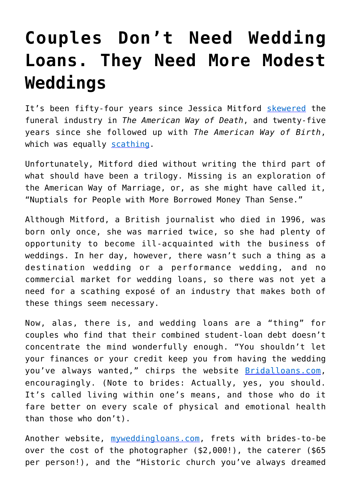## **[Couples Don't Need Wedding](https://intellectualtakeout.org/2017/07/couples-dont-need-wedding-loans-they-need-more-modest-weddings/) [Loans. They Need More Modest](https://intellectualtakeout.org/2017/07/couples-dont-need-wedding-loans-they-need-more-modest-weddings/) [Weddings](https://intellectualtakeout.org/2017/07/couples-dont-need-wedding-loans-they-need-more-modest-weddings/)**

It's been fifty-four years since Jessica Mitford [skewered](https://www.amazon.com/American-Way-Death-Revisited/dp/0679771867) the funeral industry in *The American Way of Death*, and twenty-five years since she followed up with *The American Way of Birth*, which was equally [scathing.](https://www.amazon.com/American-Way-Birth-Jessica-Mitford/dp/0525935231/ref=sr_1_1?s=books&ie=UTF8&qid=1499353136&sr=1-1&keywords=the+american+way+of+birth)

Unfortunately, Mitford died without writing the third part of what should have been a trilogy. Missing is an exploration of the American Way of Marriage, or, as she might have called it, "Nuptials for People with More Borrowed Money Than Sense."

Although Mitford, a British journalist who died in 1996, was born only once, she was married twice, so she had plenty of opportunity to become ill-acquainted with the business of weddings. In her day, however, there wasn't such a thing as a destination wedding or a performance wedding, and no commercial market for wedding loans, so there was not yet a need for a scathing exposé of an industry that makes both of these things seem necessary.

Now, alas, there is, and wedding loans are a "thing" for couples who find that their combined student-loan debt doesn't concentrate the mind wonderfully enough. "You shouldn't let your finances or your credit keep you from having the wedding you've always wanted," chirps the website [Bridalloans.com,](http://bridalloans.com/) encouragingly. (Note to brides: Actually, yes, you should. It's called living within one's means, and those who do it fare better on every scale of physical and emotional health than those who don't).

Another website, [myweddingloans.com,](https://www.myweddingloans.com/) frets with brides-to-be over the cost of the photographer (\$2,000!), the caterer (\$65 per person!), and the "Historic church you've always dreamed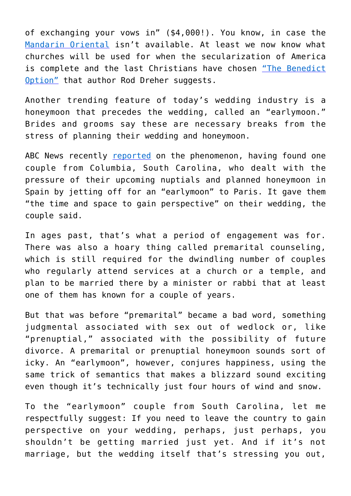of exchanging your vows in" (\$4,000!). You know, in case the [Mandarin Oriental](http://www.mandarinoriental.com/) isn't available. At least we now know what churches will be used for when the secularization of America is complete and the last Christians have chosen ["The Benedict](https://www.amazon.com/Benedict-Option-Strategy-Christians-Post-Christian/dp/0735213291) [Option"](https://www.amazon.com/Benedict-Option-Strategy-Christians-Post-Christian/dp/0735213291) that author Rod Dreher suggests.

Another trending feature of today's wedding industry is a honeymoon that precedes the wedding, called an "earlymoon." Brides and grooms say these are necessary breaks from the stress of planning their wedding and honeymoon.

ABC News recently [reported](http://abcnews.go.com/Lifestyle/earlymoons-latest-wedding-trend/story?id=48438576) on the phenomenon, having found one couple from Columbia, South Carolina, who dealt with the pressure of their upcoming nuptials and planned honeymoon in Spain by jetting off for an "earlymoon" to Paris. It gave them "the time and space to gain perspective" on their wedding, the couple said.

In ages past, that's what a period of engagement was for. There was also a hoary thing called premarital counseling, which is still required for the dwindling number of couples who regularly attend services at a church or a temple, and plan to be married there by a minister or rabbi that at least one of them has known for a couple of years.

But that was before "premarital" became a bad word, something judgmental associated with sex out of wedlock or, like "prenuptial," associated with the possibility of future divorce. A premarital or prenuptial honeymoon sounds sort of icky. An "earlymoon", however, conjures happiness, using the same trick of semantics that makes a blizzard sound exciting even though it's technically just four hours of wind and snow.

To the "earlymoon" couple from South Carolina, let me respectfully suggest: If you need to leave the country to gain perspective on your wedding, perhaps, just perhaps, you shouldn't be getting married just yet. And if it's not marriage, but the wedding itself that's stressing you out,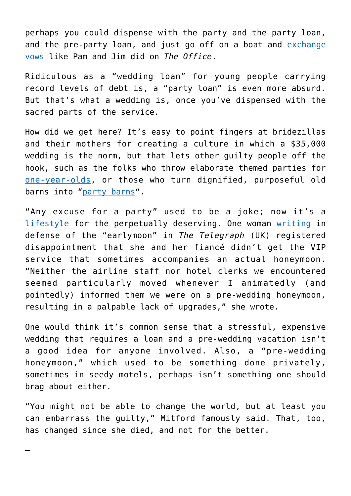perhaps you could dispense with the party and the party loan, and the pre-party loan, and just go off on a boat and [exchange](http://theoffice.wikia.com/wiki/Niagara) [vows](http://theoffice.wikia.com/wiki/Niagara) like Pam and Jim did on *The Office*.

Ridiculous as a "wedding loan" for young people carrying record levels of debt is, a "party loan" is even more absurd. But that's what a wedding is, once you've dispensed with the sacred parts of the service.

How did we get here? It's easy to point fingers at bridezillas and their mothers for creating a culture in which a \$35,000 wedding is the norm, but that lets other guilty people off the hook, such as the folks who throw elaborate themed parties for [one-year-olds](http://www.parenting.com/gallery/fun-ideas-for-babys-first-birthday-party), or those who turn dignified, purposeful old barns into ["party barns](https://www.bostonglobe.com/opinion/2014/07/06/party-barns-preservation-last-resort/IUYAdEJ7cV5CVGheWTHHiJ/story.html)".

"Any excuse for a party" used to be a joke; now it's a [lifestyle](http://www.partyexcuses.com/) for the perpetually deserving. One woman [writing](http://www.telegraph.co.uk/women/life/going-pre-wedding-early-moon-like-pippa-middleton-best-thing/) in defense of the "earlymoon" in *The Telegraph* (UK) registered disappointment that she and her fiancé didn't get the VIP service that sometimes accompanies an actual honeymoon. "Neither the airline staff nor hotel clerks we encountered seemed particularly moved whenever I animatedly (and pointedly) informed them we were on a pre-wedding honeymoon, resulting in a palpable lack of upgrades," she wrote.

One would think it's common sense that a stressful, expensive wedding that requires a loan and a pre-wedding vacation isn't a good idea for anyone involved. Also, a "pre-wedding honeymoon," which used to be something done privately, sometimes in seedy motels, perhaps isn't something one should brag about either.

"You might not be able to change the world, but at least you can embarrass the guilty," Mitford famously said. That, too, has changed since she died, and not for the better.

—